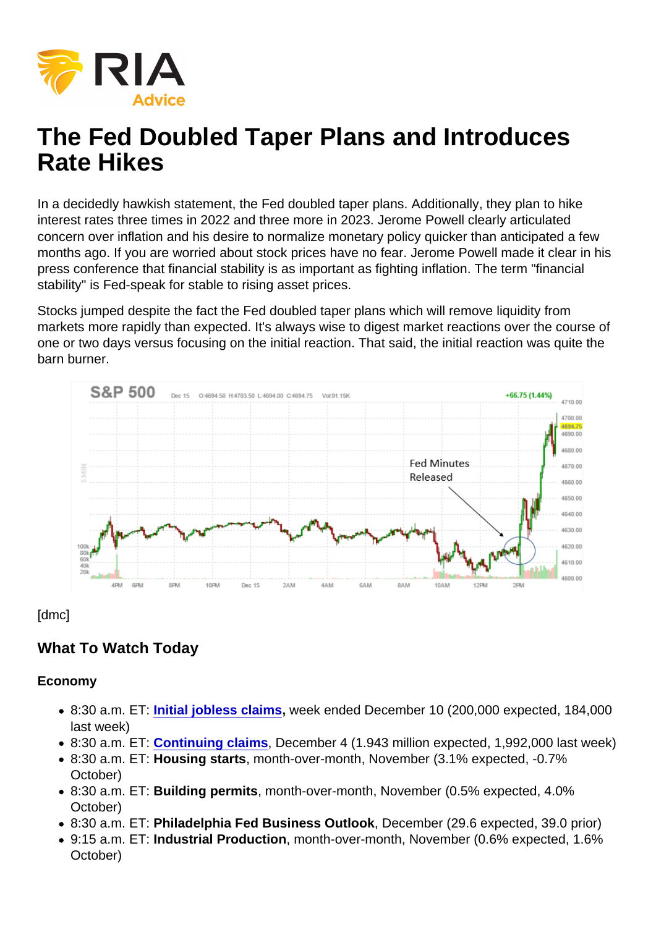In a decidedly hawkish statement, the Fed doubled taper plans. Additionally, they plan to hike interest rates three times in 2022 and three more in 2023. Jerome Powell clearly articulated concern over inflation and his desire to normalize monetary policy quicker than anticipated a few months ago. If you are worried about stock prices have no fear. Jerome Powell made it clear in his press conference that financial stability is as important as fighting inflation. The term "financial stability" is Fed-speak for stable to rising asset prices.

Stocks jumped despite the fact the Fed doubled taper plans which will remove liquidity from markets more rapidly than expected. It's always wise to digest market reactions over the course of one or two days versus focusing on the initial reaction. That said, the initial reaction was quite the barn burner.

[dmc]

## What To Watch Today

Economy

- 8:30 a.m. ET: [Initial jobless claims](https://finance.yahoo.com/news/weekly-unemployment-claims-week-ended-dec-11-2021-200522770.html) , week ended December 10 (200,000 expected, 184,000 last week)
- 8:30 a.m. ET: [Continuing claims](https://finance.yahoo.com/news/weekly-unemployment-claims-week-ended-dec-11-2021-200522770.html) , December 4 (1.943 million expected, 1,992,000 last week)
- 8:30 a.m. ET: Housing starts , month-over-month, November (3.1% expected, -0.7% October)
- 8:30 a.m. ET: Building permits , month-over-month, November (0.5% expected, 4.0% October)
- 8:30 a.m. ET: Philadelphia Fed Business Outlook , December (29.6 expected, 39.0 prior)
- 9:15 a.m. ET: Industrial Production , month-over-month, November (0.6% expected, 1.6% October)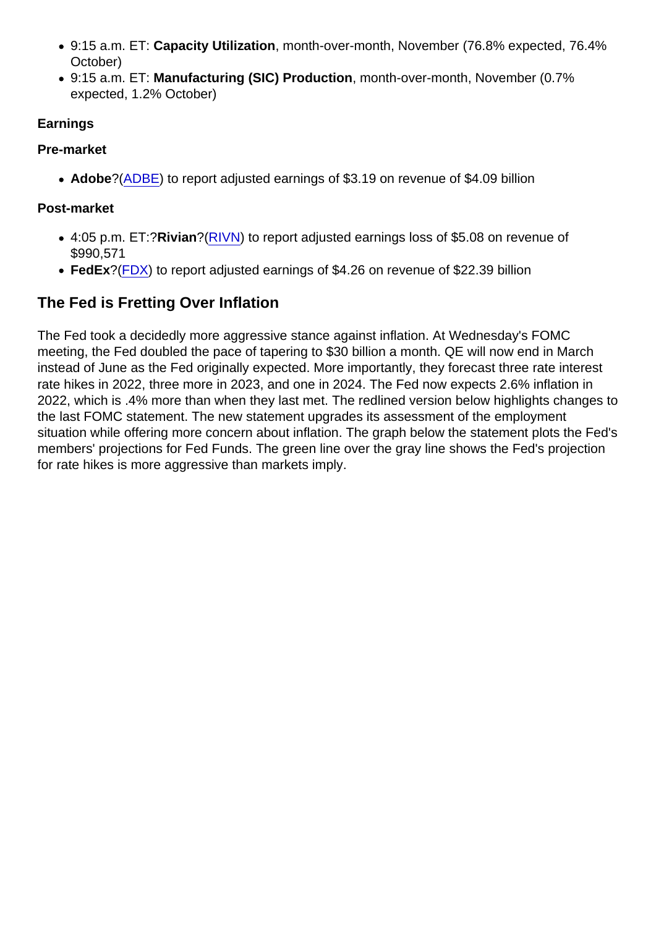- 9:15 a.m. ET: Capacity Utilization , month-over-month, November (76.8% expected, 76.4% October)
- 9:15 a.m. ET: Manufacturing (SIC) Production , month-over-month, November (0.7% expected, 1.2% October)

Earnings

Pre-market

• Adobe ?[\(ADBE\)](https://finance.yahoo.com/quote/ADBE?p=ADBE&.tsrc=fin-srch) to report adjusted earnings of \$3.19 on revenue of \$4.09 billion

Post-market

- 4:05 p.m. ET:?Rivian ?[\(RIVN](https://finance.yahoo.com/quote/RIVN?p=RIVN&.tsrc=fin-srch)) to report adjusted earnings loss of \$5.08 on revenue of \$990,571
- FedEx?([FDX\)](https://finance.yahoo.com/quote/FDX?p=FDX&.tsrc=fin-srch) to report adjusted earnings of \$4.26 on revenue of \$22.39 billion

## The Fed is Fretting Over Inflation

The Fed took a decidedly more aggressive stance against inflation. At Wednesday's FOMC meeting, the Fed doubled the pace of tapering to \$30 billion a month. QE will now end in March instead of June as the Fed originally expected. More importantly, they forecast three rate interest rate hikes in 2022, three more in 2023, and one in 2024. The Fed now expects 2.6% inflation in 2022, which is .4% more than when they last met. The redlined version below highlights changes to the last FOMC statement. The new statement upgrades its assessment of the employment situation while offering more concern about inflation. The graph below the statement plots the Fed's members' projections for Fed Funds. The green line over the gray line shows the Fed's projection for rate hikes is more aggressive than markets imply.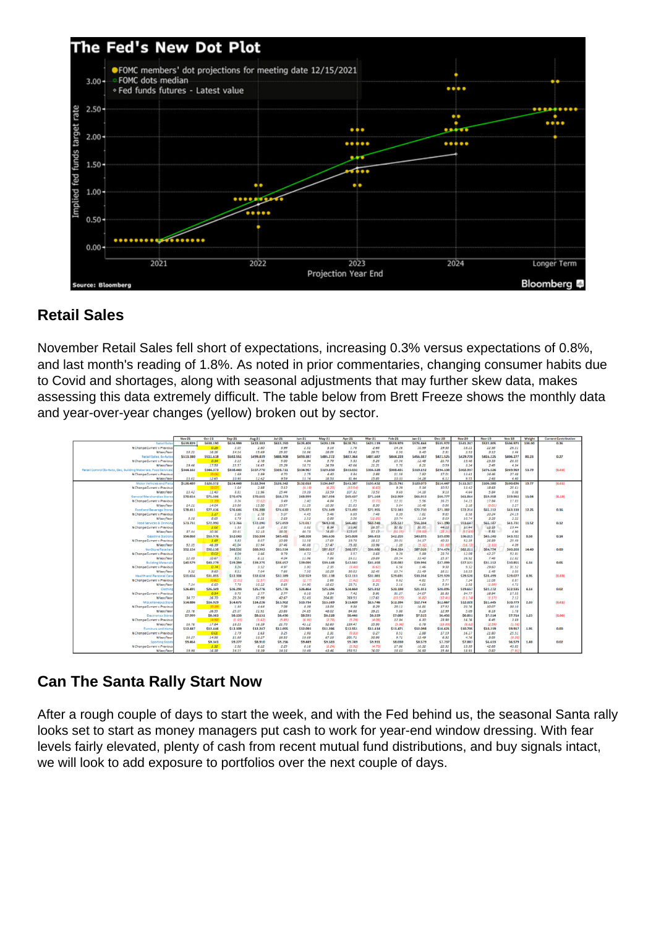## Retail Sales

November Retail Sales fell short of expectations, increasing 0.3% versus expectations of 0.8%, and last month's reading of 1.8%. As noted in prior commentaries, changing consumer habits due to Covid and shortages, along with seasonal adjustments that may further skew data, makes assessing this data extremely difficult. The table below from Brett Freeze shows the monthly data and year-over-year changes (yellow) broken out by sector.

## Can The Santa Rally Start Now

After a rough couple of days to start the week, and with the Fed behind us, the seasonal Santa rally looks set to start as money managers put cash to work for year-end window dressing. With fear levels fairly elevated, plenty of cash from recent mutual fund distributions, and buy signals intact, we will look to add exposure to portfolios over the next couple of days.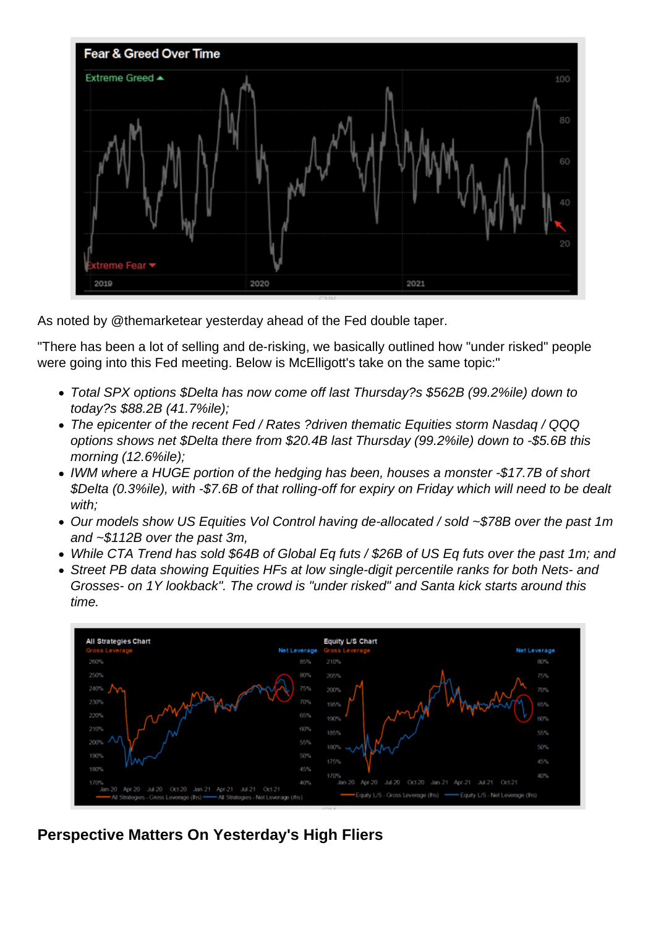As noted by @themarketear yesterday ahead of the Fed double taper.

"There has been a lot of selling and de-risking, we basically outlined how "under risked" people were going into this Fed meeting. Below is McElligott's take on the same topic:"

- Total SPX options \$Delta has now come off last Thursday?s \$562B (99.2%ile) down to today?s \$88.2B (41.7%ile);
- The epicenter of the recent Fed / Rates ?driven thematic Equities storm Nasdaq / QQQ options shows net \$Delta there from \$20.4B last Thursday (99.2%ile) down to -\$5.6B this morning (12.6%ile);
- IWM where a HUGE portion of the hedging has been, houses a monster -\$17.7B of short \$Delta (0.3%ile), with -\$7.6B of that rolling-off for expiry on Friday which will need to be dealt with;
- Our models show US Equities Vol Control having de-allocated / sold ~\$78B over the past 1m and ~\$112B over the past 3m,
- While CTA Trend has sold \$64B of Global Eq futs / \$26B of US Eq futs over the past 1m; and
- Street PB data showing Equities HFs at low single-digit percentile ranks for both Nets- and Grosses- on 1Y lookback". The crowd is "under risked" and Santa kick starts around this time.

Perspective Matters On Yesterday's High Fliers